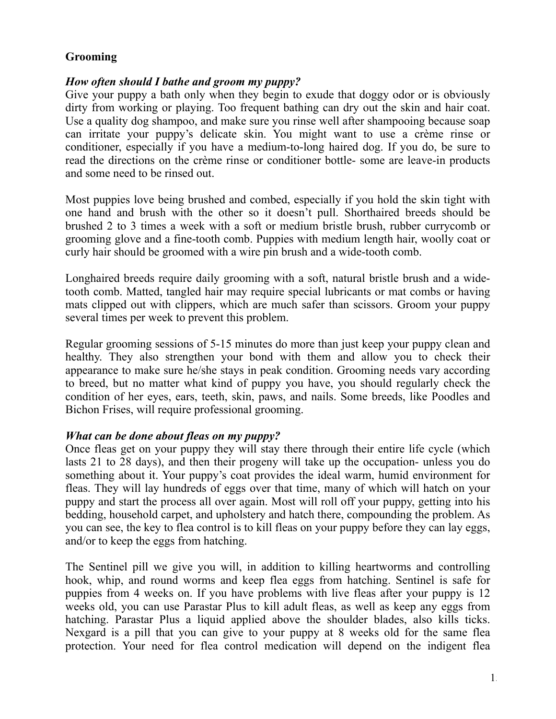# **Grooming**

## *How often should I bathe and groom my puppy?*

Give your puppy a bath only when they begin to exude that doggy odor or is obviously dirty from working or playing. Too frequent bathing can dry out the skin and hair coat. Use a quality dog shampoo, and make sure you rinse well after shampooing because soap can irritate your puppy's delicate skin. You might want to use a crème rinse or conditioner, especially if you have a medium-to-long haired dog. If you do, be sure to read the directions on the crème rinse or conditioner bottle- some are leave-in products and some need to be rinsed out.

Most puppies love being brushed and combed, especially if you hold the skin tight with one hand and brush with the other so it doesn't pull. Shorthaired breeds should be brushed 2 to 3 times a week with a soft or medium bristle brush, rubber currycomb or grooming glove and a fine-tooth comb. Puppies with medium length hair, woolly coat or curly hair should be groomed with a wire pin brush and a wide-tooth comb.

Longhaired breeds require daily grooming with a soft, natural bristle brush and a widetooth comb. Matted, tangled hair may require special lubricants or mat combs or having mats clipped out with clippers, which are much safer than scissors. Groom your puppy several times per week to prevent this problem.

Regular grooming sessions of 5-15 minutes do more than just keep your puppy clean and healthy. They also strengthen your bond with them and allow you to check their appearance to make sure he/she stays in peak condition. Grooming needs vary according to breed, but no matter what kind of puppy you have, you should regularly check the condition of her eyes, ears, teeth, skin, paws, and nails. Some breeds, like Poodles and Bichon Frises, will require professional grooming.

#### *What can be done about fleas on my puppy?*

Once fleas get on your puppy they will stay there through their entire life cycle (which lasts 21 to 28 days), and then their progeny will take up the occupation- unless you do something about it. Your puppy's coat provides the ideal warm, humid environment for fleas. They will lay hundreds of eggs over that time, many of which will hatch on your puppy and start the process all over again. Most will roll off your puppy, getting into his bedding, household carpet, and upholstery and hatch there, compounding the problem. As you can see, the key to flea control is to kill fleas on your puppy before they can lay eggs, and/or to keep the eggs from hatching.

The Sentinel pill we give you will, in addition to killing heartworms and controlling hook, whip, and round worms and keep flea eggs from hatching. Sentinel is safe for puppies from 4 weeks on. If you have problems with live fleas after your puppy is 12 weeks old, you can use Parastar Plus to kill adult fleas, as well as keep any eggs from hatching. Parastar Plus a liquid applied above the shoulder blades, also kills ticks. Nexgard is a pill that you can give to your puppy at 8 weeks old for the same flea protection. Your need for flea control medication will depend on the indigent flea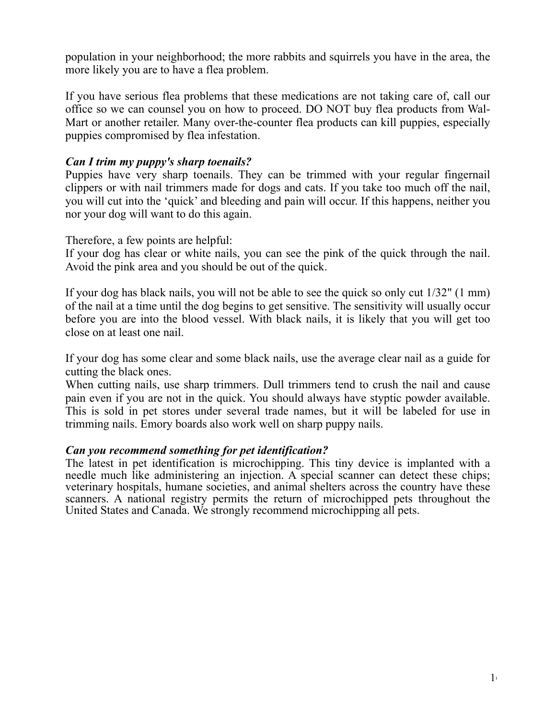population in your neighborhood; the more rabbits and squirrels you have in the area, the more likely you are to have a flea problem.

If you have serious flea problems that these medications are not taking care of, call our office so we can counsel you on how to proceed. DO NOT buy flea products from Wal-Mart or another retailer. Many over-the-counter flea products can kill puppies, especially puppies compromised by flea infestation.

## *Can I trim my puppy's sharp toenails?*

Puppies have very sharp toenails. They can be trimmed with your regular fingernail clippers or with nail trimmers made for dogs and cats. If you take too much off the nail, you will cut into the 'quick' and bleeding and pain will occur. If this happens, neither you nor your dog will want to do this again.

Therefore, a few points are helpful:

If your dog has clear or white nails, you can see the pink of the quick through the nail. Avoid the pink area and you should be out of the quick.

If your dog has black nails, you will not be able to see the quick so only cut 1/32" (1 mm) of the nail at a time until the dog begins to get sensitive. The sensitivity will usually occur before you are into the blood vessel. With black nails, it is likely that you will get too close on at least one nail.

If your dog has some clear and some black nails, use the average clear nail as a guide for cutting the black ones.

When cutting nails, use sharp trimmers. Dull trimmers tend to crush the nail and cause pain even if you are not in the quick. You should always have styptic powder available. This is sold in pet stores under several trade names, but it will be labeled for use in trimming nails. Emory boards also work well on sharp puppy nails.

#### *Can you recommend something for pet identification?*

The latest in pet identification is microchipping. This tiny device is implanted with a needle much like administering an injection. A special scanner can detect these chips; veterinary hospitals, humane societies, and animal shelters across the country have these scanners. A national registry permits the return of microchipped pets throughout the United States and Canada. We strongly recommend microchipping all pets.